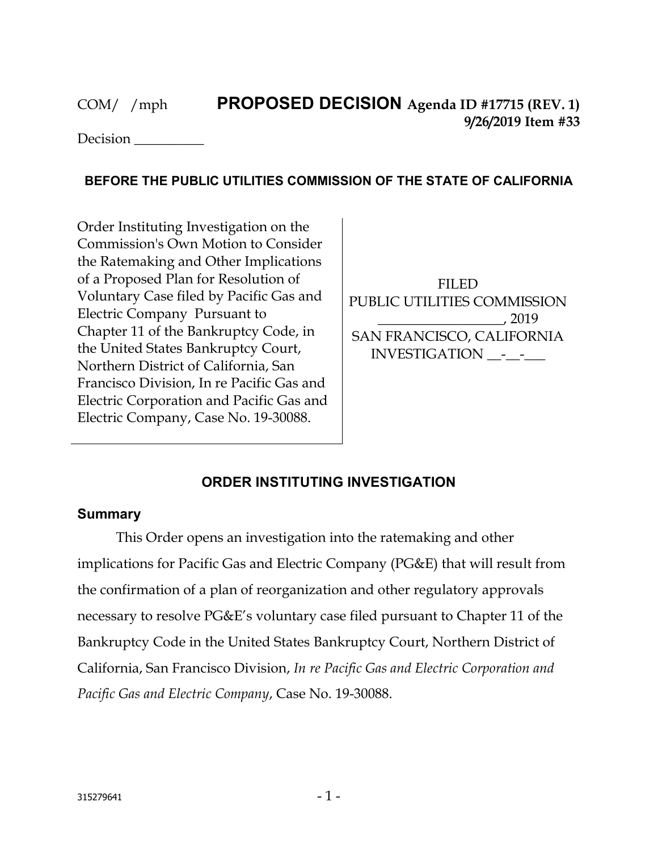Decision \_\_\_\_\_\_\_\_\_\_

## **BEFORE THE PUBLIC UTILITIES COMMISSION OF THE STATE OF CALIFORNIA**

Order Instituting Investigation on the Commission's Own Motion to Consider the Ratemaking and Other Implications of a Proposed Plan for Resolution of Voluntary Case filed by Pacific Gas and Electric Company Pursuant to Chapter 11 of the Bankruptcy Code, in the United States Bankruptcy Court, Northern District of California, San Francisco Division, In re Pacific Gas and Electric Corporation and Pacific Gas and Electric Company, Case No. 19-30088.

FILED PUBLIC UTILITIES COMMISSION \_\_\_\_\_\_\_\_\_\_\_\_\_\_\_\_\_\_, 2019 SAN FRANCISCO, CALIFORNIA INVESTIGATION \_\_-\_\_-\_\_\_

## **ORDER INSTITUTING INVESTIGATION**

## **Summary**

This Order opens an investigation into the ratemaking and other implications for Pacific Gas and Electric Company (PG&E) that will result from the confirmation of a plan of reorganization and other regulatory approvals necessary to resolve PG&E's voluntary case filed pursuant to Chapter 11 of the Bankruptcy Code in the United States Bankruptcy Court, Northern District of California, San Francisco Division, *In re Pacific Gas and Electric Corporation and Pacific Gas and Electric Company*, Case No. 19-30088.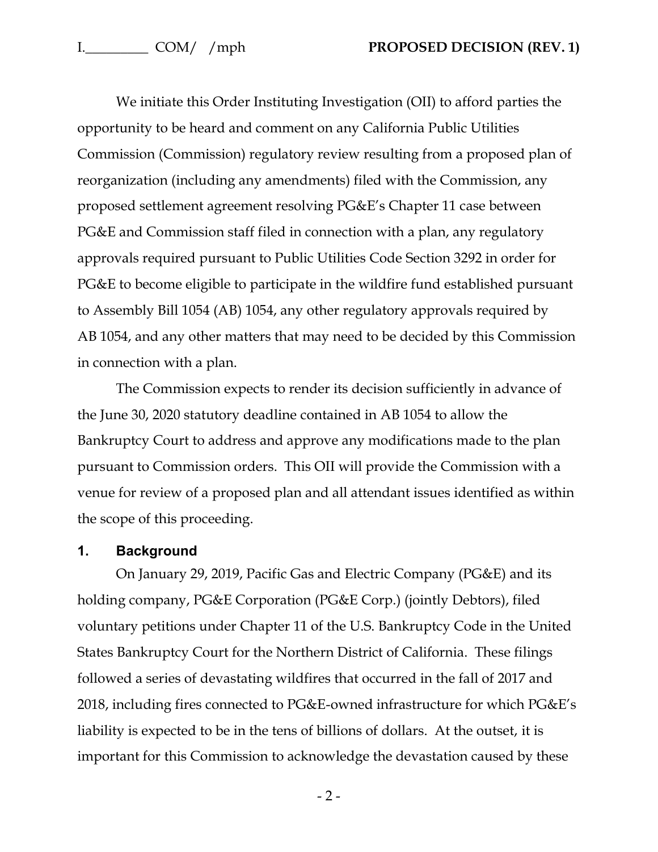We initiate this Order Instituting Investigation (OII) to afford parties the opportunity to be heard and comment on any California Public Utilities Commission (Commission) regulatory review resulting from a proposed plan of reorganization (including any amendments) filed with the Commission, any proposed settlement agreement resolving PG&E's Chapter 11 case between PG&E and Commission staff filed in connection with a plan, any regulatory approvals required pursuant to Public Utilities Code Section 3292 in order for PG&E to become eligible to participate in the wildfire fund established pursuant to Assembly Bill 1054 (AB) 1054, any other regulatory approvals required by AB 1054, and any other matters that may need to be decided by this Commission in connection with a plan.

The Commission expects to render its decision sufficiently in advance of the June 30, 2020 statutory deadline contained in AB 1054 to allow the Bankruptcy Court to address and approve any modifications made to the plan pursuant to Commission orders. This OII will provide the Commission with a venue for review of a proposed plan and all attendant issues identified as within the scope of this proceeding.

### **1. Background**

On January 29, 2019, Pacific Gas and Electric Company (PG&E) and its holding company, PG&E Corporation (PG&E Corp.) (jointly Debtors), filed voluntary petitions under Chapter 11 of the U.S. Bankruptcy Code in the United States Bankruptcy Court for the Northern District of California. These filings followed a series of devastating wildfires that occurred in the fall of 2017 and 2018, including fires connected to PG&E-owned infrastructure for which PG&E's liability is expected to be in the tens of billions of dollars. At the outset, it is important for this Commission to acknowledge the devastation caused by these

 $-2-$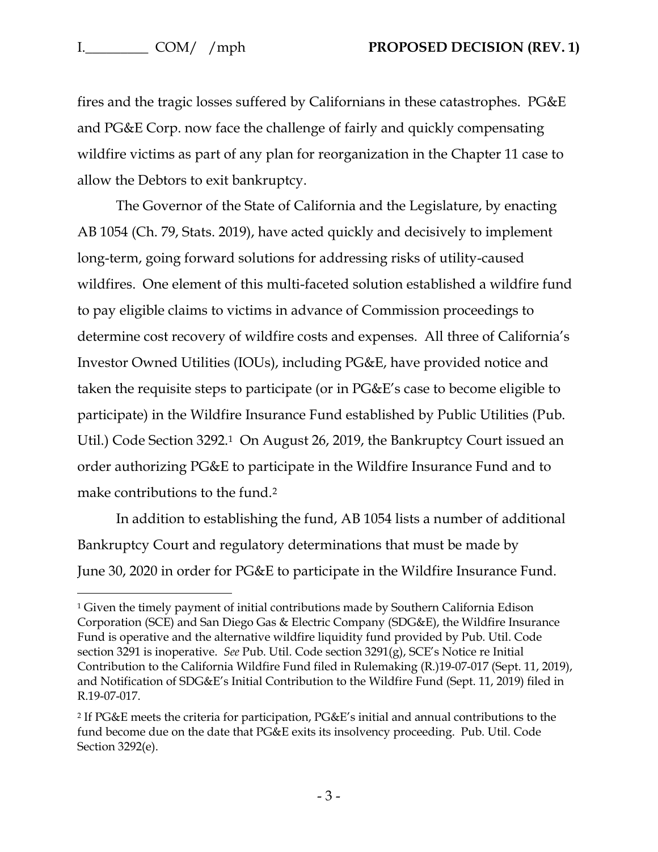$\overline{a}$ 

fires and the tragic losses suffered by Californians in these catastrophes. PG&E and PG&E Corp. now face the challenge of fairly and quickly compensating wildfire victims as part of any plan for reorganization in the Chapter 11 case to allow the Debtors to exit bankruptcy.

The Governor of the State of California and the Legislature, by enacting AB 1054 (Ch. 79, Stats. 2019), have acted quickly and decisively to implement long-term, going forward solutions for addressing risks of utility-caused wildfires. One element of this multi-faceted solution established a wildfire fund to pay eligible claims to victims in advance of Commission proceedings to determine cost recovery of wildfire costs and expenses. All three of California's Investor Owned Utilities (IOUs), including PG&E, have provided notice and taken the requisite steps to participate (or in PG&E's case to become eligible to participate) in the Wildfire Insurance Fund established by Public Utilities (Pub. Util.) Code Section 3292.1 On August 26, 2019, the Bankruptcy Court issued an order authorizing PG&E to participate in the Wildfire Insurance Fund and to make contributions to the fund.<sup>2</sup>

In addition to establishing the fund, AB 1054 lists a number of additional Bankruptcy Court and regulatory determinations that must be made by June 30, 2020 in order for PG&E to participate in the Wildfire Insurance Fund.

<sup>1</sup> Given the timely payment of initial contributions made by Southern California Edison Corporation (SCE) and San Diego Gas & Electric Company (SDG&E), the Wildfire Insurance Fund is operative and the alternative wildfire liquidity fund provided by Pub. Util. Code section 3291 is inoperative. *See* Pub. Util. Code section 3291(g), SCE's Notice re Initial Contribution to the California Wildfire Fund filed in Rulemaking (R.)19-07-017 (Sept. 11, 2019), and Notification of SDG&E's Initial Contribution to the Wildfire Fund (Sept. 11, 2019) filed in R.19-07-017.

<sup>2</sup> If PG&E meets the criteria for participation, PG&E's initial and annual contributions to the fund become due on the date that PG&E exits its insolvency proceeding. Pub. Util. Code Section 3292(e).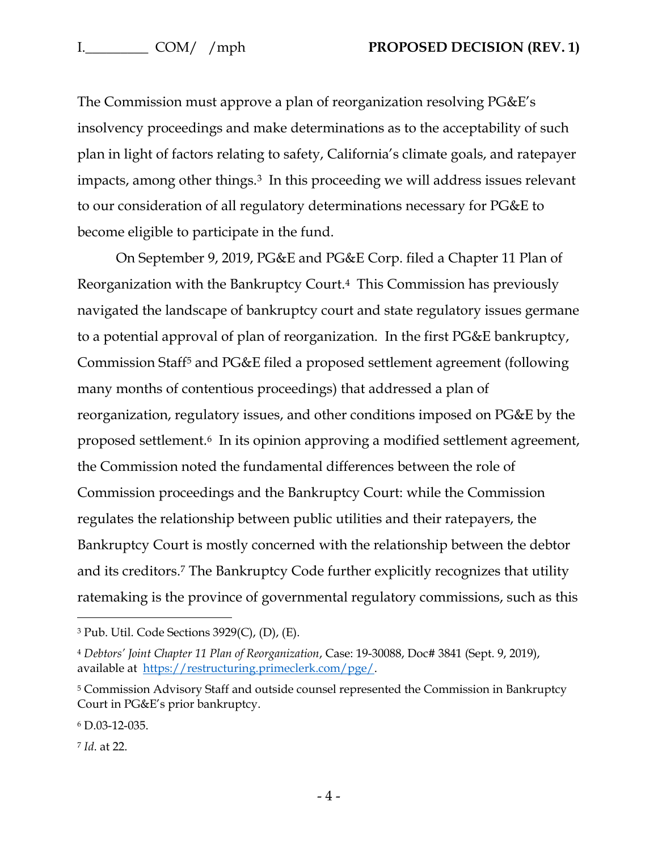The Commission must approve a plan of reorganization resolving PG&E's insolvency proceedings and make determinations as to the acceptability of such plan in light of factors relating to safety, California's climate goals, and ratepayer impacts, among other things.<sup>3</sup> In this proceeding we will address issues relevant to our consideration of all regulatory determinations necessary for PG&E to become eligible to participate in the fund.

On September 9, 2019, PG&E and PG&E Corp. filed a Chapter 11 Plan of Reorganization with the Bankruptcy Court.4 This Commission has previously navigated the landscape of bankruptcy court and state regulatory issues germane to a potential approval of plan of reorganization. In the first PG&E bankruptcy, Commission Staff<sup>5</sup> and PG&E filed a proposed settlement agreement (following many months of contentious proceedings) that addressed a plan of reorganization, regulatory issues, and other conditions imposed on PG&E by the proposed settlement.6 In its opinion approving a modified settlement agreement, the Commission noted the fundamental differences between the role of Commission proceedings and the Bankruptcy Court: while the Commission regulates the relationship between public utilities and their ratepayers, the Bankruptcy Court is mostly concerned with the relationship between the debtor and its creditors.<sup>7</sup> The Bankruptcy Code further explicitly recognizes that utility ratemaking is the province of governmental regulatory commissions, such as this

 $\overline{a}$ 

<sup>3</sup> Pub. Util. Code Sections 3929(C), (D), (E).

<sup>4</sup> *Debtors' Joint Chapter 11 Plan of Reorganization*, Case: 19-30088, Doc# 3841 (Sept. 9, 2019), available at [https://restructuring.primeclerk.com/pge/.](https://restructuring.primeclerk.com/pge/)

<sup>5</sup> Commission Advisory Staff and outside counsel represented the Commission in Bankruptcy Court in PG&E's prior bankruptcy.

<sup>6</sup> D.03-12-035.

<sup>7</sup> *Id*. at 22.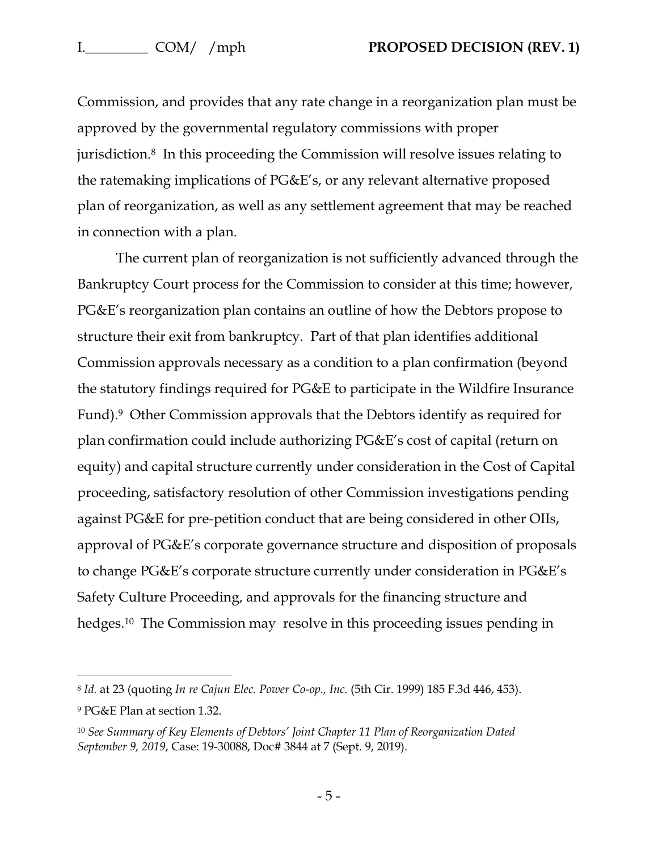Commission, and provides that any rate change in a reorganization plan must be approved by the governmental regulatory commissions with proper jurisdiction.8 In this proceeding the Commission will resolve issues relating to the ratemaking implications of PG&E's, or any relevant alternative proposed plan of reorganization, as well as any settlement agreement that may be reached in connection with a plan.

The current plan of reorganization is not sufficiently advanced through the Bankruptcy Court process for the Commission to consider at this time; however, PG&E's reorganization plan contains an outline of how the Debtors propose to structure their exit from bankruptcy. Part of that plan identifies additional Commission approvals necessary as a condition to a plan confirmation (beyond the statutory findings required for PG&E to participate in the Wildfire Insurance Fund).9 Other Commission approvals that the Debtors identify as required for plan confirmation could include authorizing PG&E's cost of capital (return on equity) and capital structure currently under consideration in the Cost of Capital proceeding, satisfactory resolution of other Commission investigations pending against PG&E for pre-petition conduct that are being considered in other OIIs, approval of PG&E's corporate governance structure and disposition of proposals to change PG&E's corporate structure currently under consideration in PG&E's Safety Culture Proceeding, and approvals for the financing structure and hedges.10 The Commission may resolve in this proceeding issues pending in

 $\overline{a}$ 

<sup>8</sup> *Id.* at 23 (quoting *In re Cajun Elec. Power Co-op., Inc.* (5th Cir. 1999) 185 F.3d 446, 453).

<sup>9</sup> PG&E Plan at section 1.32.

<sup>10</sup> *See Summary of Key Elements of Debtors' Joint Chapter 11 Plan of Reorganization Dated September 9, 2019*, Case: 19-30088, Doc# 3844 at 7 (Sept. 9, 2019).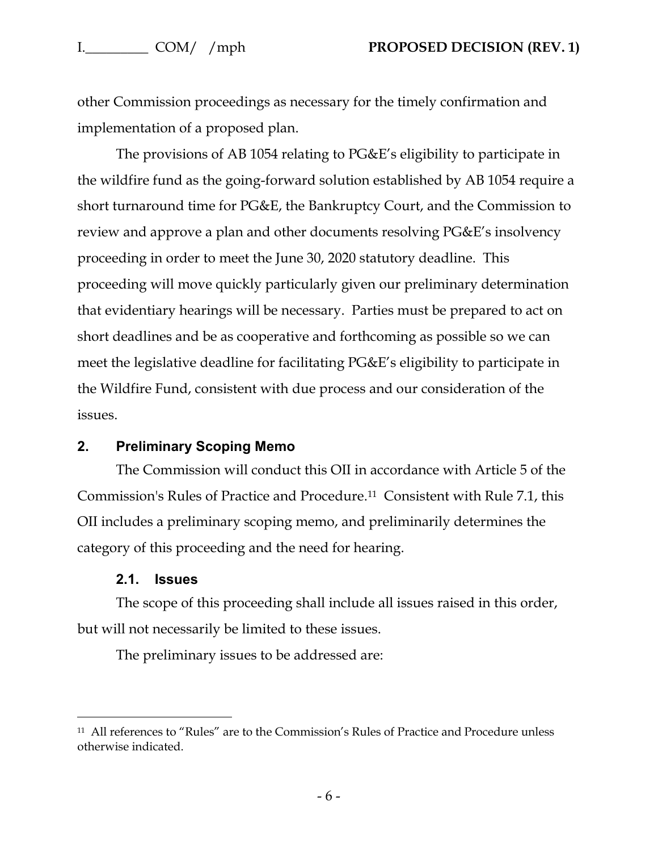other Commission proceedings as necessary for the timely confirmation and implementation of a proposed plan.

The provisions of AB 1054 relating to PG&E's eligibility to participate in the wildfire fund as the going-forward solution established by AB 1054 require a short turnaround time for PG&E, the Bankruptcy Court, and the Commission to review and approve a plan and other documents resolving PG&E's insolvency proceeding in order to meet the June 30, 2020 statutory deadline. This proceeding will move quickly particularly given our preliminary determination that evidentiary hearings will be necessary. Parties must be prepared to act on short deadlines and be as cooperative and forthcoming as possible so we can meet the legislative deadline for facilitating PG&E's eligibility to participate in the Wildfire Fund, consistent with due process and our consideration of the issues.

### **2. Preliminary Scoping Memo**

The Commission will conduct this OII in accordance with Article 5 of the Commission's Rules of Practice and Procedure.11 Consistent with Rule 7.1, this OII includes a preliminary scoping memo, and preliminarily determines the category of this proceeding and the need for hearing.

#### **2.1. Issues**

 $\overline{a}$ 

The scope of this proceeding shall include all issues raised in this order, but will not necessarily be limited to these issues.

The preliminary issues to be addressed are:

<sup>11</sup> All references to "Rules" are to the Commission's Rules of Practice and Procedure unless otherwise indicated.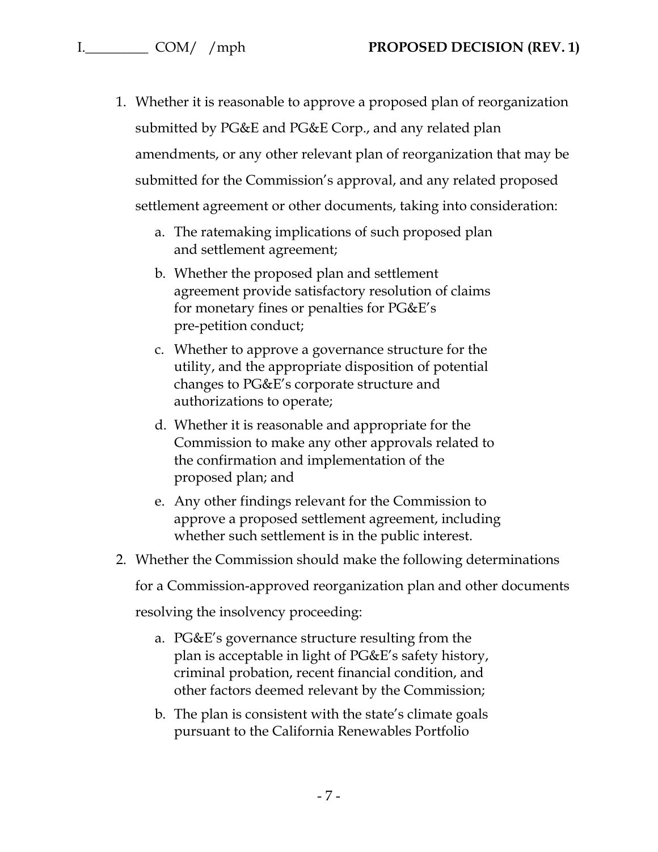- 1. Whether it is reasonable to approve a proposed plan of reorganization submitted by PG&E and PG&E Corp., and any related plan amendments, or any other relevant plan of reorganization that may be submitted for the Commission's approval, and any related proposed settlement agreement or other documents, taking into consideration:
	- a. The ratemaking implications of such proposed plan and settlement agreement;
	- b. Whether the proposed plan and settlement agreement provide satisfactory resolution of claims for monetary fines or penalties for PG&E's pre-petition conduct;
	- c. Whether to approve a governance structure for the utility, and the appropriate disposition of potential changes to PG&E's corporate structure and authorizations to operate;
	- d. Whether it is reasonable and appropriate for the Commission to make any other approvals related to the confirmation and implementation of the proposed plan; and
	- e. Any other findings relevant for the Commission to approve a proposed settlement agreement, including whether such settlement is in the public interest.
- 2. Whether the Commission should make the following determinations

for a Commission-approved reorganization plan and other documents

resolving the insolvency proceeding:

- a. PG&E's governance structure resulting from the plan is acceptable in light of PG&E's safety history, criminal probation, recent financial condition, and other factors deemed relevant by the Commission;
- b. The plan is consistent with the state's climate goals pursuant to the California Renewables Portfolio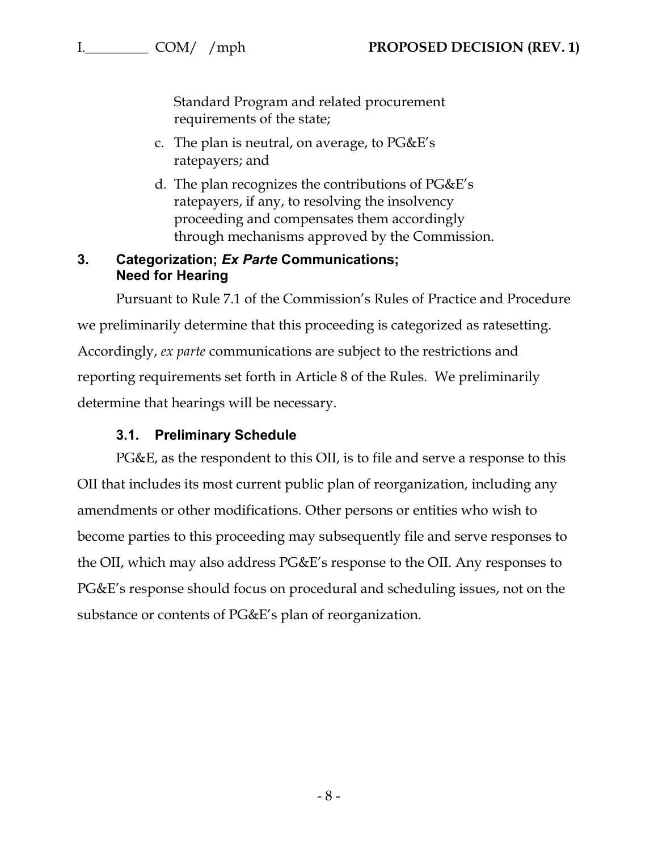Standard Program and related procurement requirements of the state;

- c. The plan is neutral, on average, to PG&E's ratepayers; and
- d. The plan recognizes the contributions of PG&E's ratepayers, if any, to resolving the insolvency proceeding and compensates them accordingly through mechanisms approved by the Commission.

## **3. Categorization;** *Ex Parte* **Communications; Need for Hearing**

Pursuant to Rule 7.1 of the Commission's Rules of Practice and Procedure we preliminarily determine that this proceeding is categorized as ratesetting. Accordingly, *ex parte* communications are subject to the restrictions and reporting requirements set forth in Article 8 of the Rules. We preliminarily determine that hearings will be necessary.

# **3.1. Preliminary Schedule**

PG&E, as the respondent to this OII, is to file and serve a response to this OII that includes its most current public plan of reorganization, including any amendments or other modifications. Other persons or entities who wish to become parties to this proceeding may subsequently file and serve responses to the OII, which may also address PG&E's response to the OII. Any responses to PG&E's response should focus on procedural and scheduling issues, not on the substance or contents of PG&E's plan of reorganization.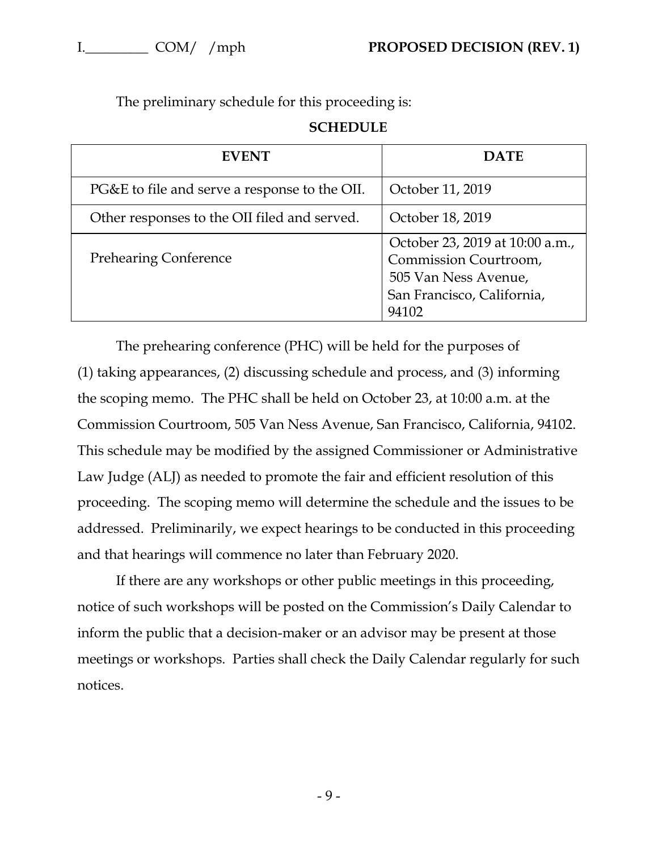The preliminary schedule for this proceeding is:

| <b>SCHEDULE</b> |  |
|-----------------|--|
|-----------------|--|

| <b>EVENT</b>                                  | <b>DATE</b>                                                                                                             |
|-----------------------------------------------|-------------------------------------------------------------------------------------------------------------------------|
| PG&E to file and serve a response to the OII. | October 11, 2019                                                                                                        |
| Other responses to the OII filed and served.  | October 18, 2019                                                                                                        |
| <b>Prehearing Conference</b>                  | October 23, 2019 at 10:00 a.m.,<br>Commission Courtroom,<br>505 Van Ness Avenue,<br>San Francisco, California,<br>94102 |

The prehearing conference (PHC) will be held for the purposes of (1) taking appearances, (2) discussing schedule and process, and (3) informing the scoping memo. The PHC shall be held on October 23, at 10:00 a.m. at the Commission Courtroom, 505 Van Ness Avenue, San Francisco, California, 94102. This schedule may be modified by the assigned Commissioner or Administrative Law Judge (ALJ) as needed to promote the fair and efficient resolution of this proceeding. The scoping memo will determine the schedule and the issues to be addressed. Preliminarily, we expect hearings to be conducted in this proceeding and that hearings will commence no later than February 2020.

If there are any workshops or other public meetings in this proceeding, notice of such workshops will be posted on the Commission's Daily Calendar to inform the public that a decision-maker or an advisor may be present at those meetings or workshops. Parties shall check the Daily Calendar regularly for such notices.

- 9 -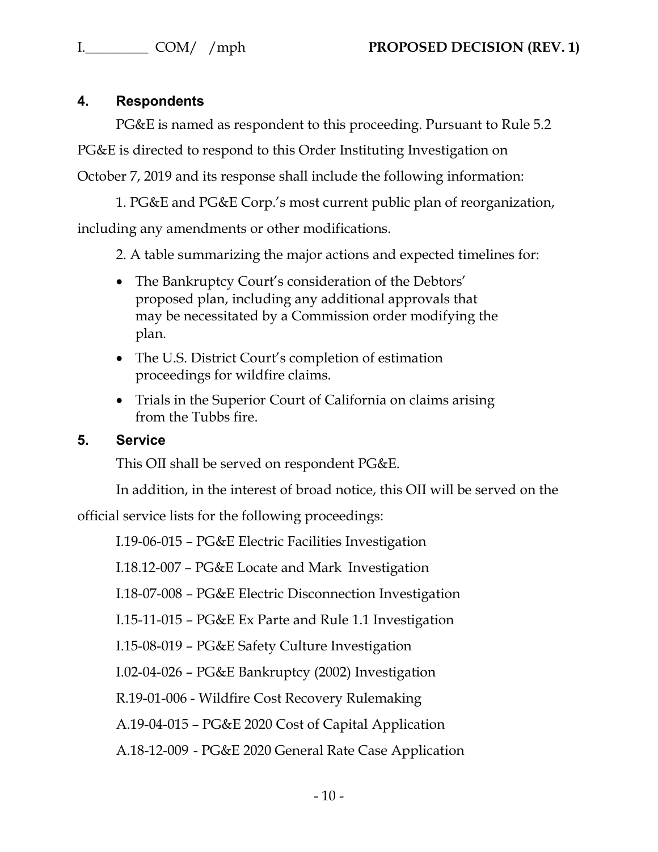# **4. Respondents**

PG&E is named as respondent to this proceeding. Pursuant to Rule 5.2 PG&E is directed to respond to this Order Instituting Investigation on

October 7, 2019 and its response shall include the following information:

1. PG&E and PG&E Corp.'s most current public plan of reorganization, including any amendments or other modifications.

2. A table summarizing the major actions and expected timelines for:

- The Bankruptcy Court's consideration of the Debtors' proposed plan, including any additional approvals that may be necessitated by a Commission order modifying the plan.
- The U.S. District Court's completion of estimation proceedings for wildfire claims.
- Trials in the Superior Court of California on claims arising from the Tubbs fire.

# **5. Service**

This OII shall be served on respondent PG&E.

In addition, in the interest of broad notice, this OII will be served on the

official service lists for the following proceedings:

I.19-06-015 – PG&E Electric Facilities Investigation

I.18.12-007 – PG&E Locate and Mark Investigation

I.18-07-008 – PG&E Electric Disconnection Investigation

I.15-11-015 – PG&E Ex Parte and Rule 1.1 Investigation

I.15-08-019 – PG&E Safety Culture Investigation

I.02-04-026 – PG&E Bankruptcy (2002) Investigation

R.19-01-006 - Wildfire Cost Recovery Rulemaking

A.19-04-015 – PG&E 2020 Cost of Capital Application

A.18-12-009 - PG&E 2020 General Rate Case Application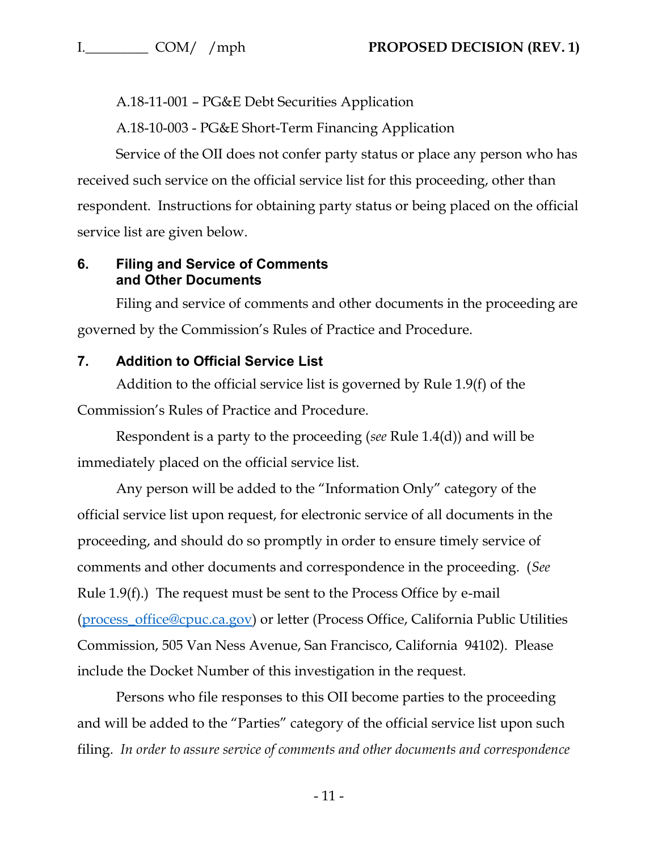A.18-11-001 – PG&E Debt Securities Application

A.18-10-003 - PG&E Short-Term Financing Application

Service of the OII does not confer party status or place any person who has received such service on the official service list for this proceeding, other than respondent. Instructions for obtaining party status or being placed on the official service list are given below.

## **6. Filing and Service of Comments and Other Documents**

Filing and service of comments and other documents in the proceeding are governed by the Commission's Rules of Practice and Procedure.

# **7. Addition to Official Service List**

Addition to the official service list is governed by Rule 1.9(f) of the Commission's Rules of Practice and Procedure.

Respondent is a party to the proceeding (*see* Rule 1.4(d)) and will be immediately placed on the official service list.

Any person will be added to the "Information Only" category of the official service list upon request, for electronic service of all documents in the proceeding, and should do so promptly in order to ensure timely service of comments and other documents and correspondence in the proceeding. (*See* Rule 1.9(f).) The request must be sent to the Process Office by e-mail [\(process\\_office@cpuc.ca.gov\)](mailto:process_office@cpuc.ca.gov) or letter (Process Office, California Public Utilities Commission, 505 Van Ness Avenue, San Francisco, California 94102). Please include the Docket Number of this investigation in the request.

Persons who file responses to this OII become parties to the proceeding and will be added to the "Parties" category of the official service list upon such filing. *In order to assure service of comments and other documents and correspondence*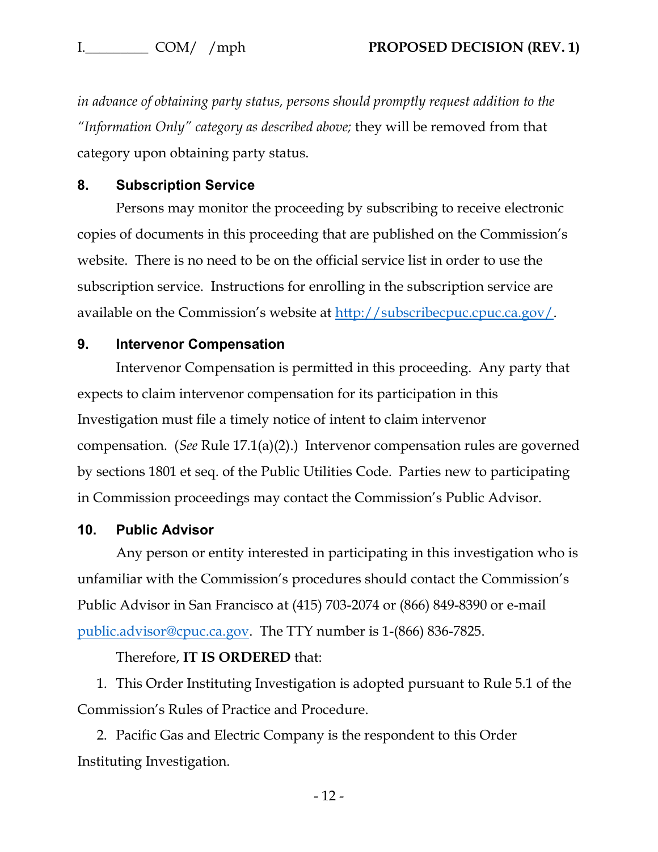*in advance of obtaining party status, persons should promptly request addition to the "Information Only" category as described above;* they will be removed from that category upon obtaining party status.

### **8. Subscription Service**

Persons may monitor the proceeding by subscribing to receive electronic copies of documents in this proceeding that are published on the Commission's website. There is no need to be on the official service list in order to use the subscription service. Instructions for enrolling in the subscription service are available on the Commission's website at <u>http://subscribecpuc.cpuc.ca.gov/</u>.

#### **9. Intervenor Compensation**

Intervenor Compensation is permitted in this proceeding. Any party that expects to claim intervenor compensation for its participation in this Investigation must file a timely notice of intent to claim intervenor compensation. (*See* Rule 17.1(a)(2).) Intervenor compensation rules are governed by sections 1801 et seq. of the Public Utilities Code. Parties new to participating in Commission proceedings may contact the Commission's Public Advisor.

#### **10. Public Advisor**

Any person or entity interested in participating in this investigation who is unfamiliar with the Commission's procedures should contact the Commission's Public Advisor in San Francisco at (415) 703-2074 or (866) 849-8390 or e-mail [public.advisor@cpuc.ca.gov.](mailto:public.advisor@cpuc.ca.gov) The TTY number is 1-(866) 836-7825.

#### Therefore, **IT IS ORDERED** that:

1. This Order Instituting Investigation is adopted pursuant to Rule 5.1 of the Commission's Rules of Practice and Procedure.

2. Pacific Gas and Electric Company is the respondent to this Order Instituting Investigation.